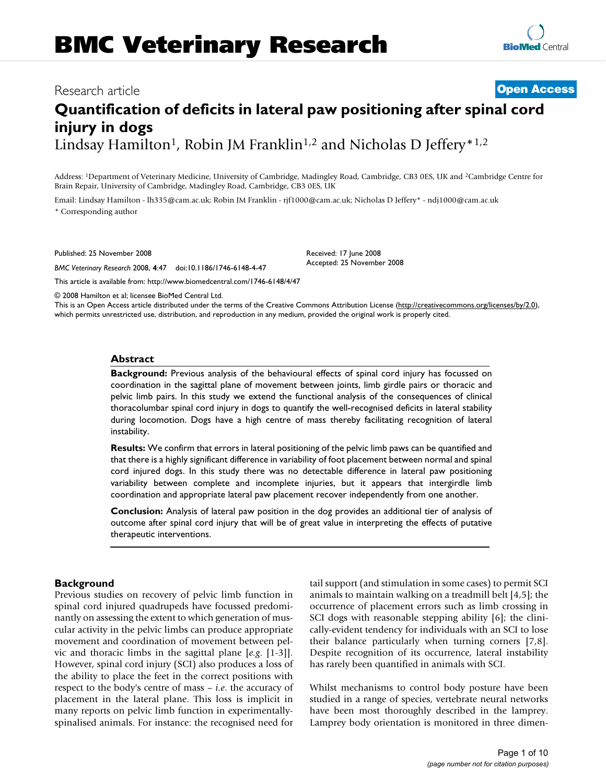# **Quantification of deficits in lateral paw positioning after spinal cord injury in dogs** Lindsay Hamilton<sup>1</sup>, Robin JM Franklin<sup>1,2</sup> and Nicholas D Jeffery<sup>\*1,2</sup>

Address: 1Department of Veterinary Medicine, University of Cambridge, Madingley Road, Cambridge, CB3 0ES, UK and 2Cambridge Centre for Brain Repair, University of Cambridge, Madingley Road, Cambridge, CB3 0ES, UK

Email: Lindsay Hamilton - lh335@cam.ac.uk; Robin JM Franklin - rjf1000@cam.ac.uk; Nicholas D Jeffery\* - ndj1000@cam.ac.uk \* Corresponding author

Published: 25 November 2008

*BMC Veterinary Research* 2008, **4**:47 doi:10.1186/1746-6148-4-47

[This article is available from: http://www.biomedcentral.com/1746-6148/4/47](http://www.biomedcentral.com/1746-6148/4/47)

© 2008 Hamilton et al; licensee BioMed Central Ltd.

This is an Open Access article distributed under the terms of the Creative Commons Attribution License [\(http://creativecommons.org/licenses/by/2.0\)](http://creativecommons.org/licenses/by/2.0), which permits unrestricted use, distribution, and reproduction in any medium, provided the original work is properly cited.

#### **Abstract**

**Background:** Previous analysis of the behavioural effects of spinal cord injury has focussed on coordination in the sagittal plane of movement between joints, limb girdle pairs or thoracic and pelvic limb pairs. In this study we extend the functional analysis of the consequences of clinical thoracolumbar spinal cord injury in dogs to quantify the well-recognised deficits in lateral stability during locomotion. Dogs have a high centre of mass thereby facilitating recognition of lateral instability.

**Results:** We confirm that errors in lateral positioning of the pelvic limb paws can be quantified and that there is a highly significant difference in variability of foot placement between normal and spinal cord injured dogs. In this study there was no detectable difference in lateral paw positioning variability between complete and incomplete injuries, but it appears that intergirdle limb coordination and appropriate lateral paw placement recover independently from one another.

**Conclusion:** Analysis of lateral paw position in the dog provides an additional tier of analysis of outcome after spinal cord injury that will be of great value in interpreting the effects of putative therapeutic interventions.

#### **Background**

Previous studies on recovery of pelvic limb function in spinal cord injured quadrupeds have focussed predominantly on assessing the extent to which generation of muscular activity in the pelvic limbs can produce appropriate movement and coordination of movement between pelvic and thoracic limbs in the sagittal plane [*e.g*. [1-3]]. However, spinal cord injury (SCI) also produces a loss of the ability to place the feet in the correct positions with respect to the body's centre of mass – *i.e*. the accuracy of placement in the lateral plane. This loss is implicit in many reports on pelvic limb function in experimentallyspinalised animals. For instance: the recognised need for tail support (and stimulation in some cases) to permit SCI animals to maintain walking on a treadmill belt [4,5]; the occurrence of placement errors such as limb crossing in SCI dogs with reasonable stepping ability [6]; the clinically-evident tendency for individuals with an SCI to lose their balance particularly when turning corners [7,8]. Despite recognition of its occurrence, lateral instability has rarely been quantified in animals with SCI.

Whilst mechanisms to control body posture have been studied in a range of species, vertebrate neural networks have been most thoroughly described in the lamprey. Lamprey body orientation is monitored in three dimen-

## Research article **[Open Access](http://www.biomedcentral.com/info/about/charter/)**

Received: 17 June 2008 Accepted: 25 November 2008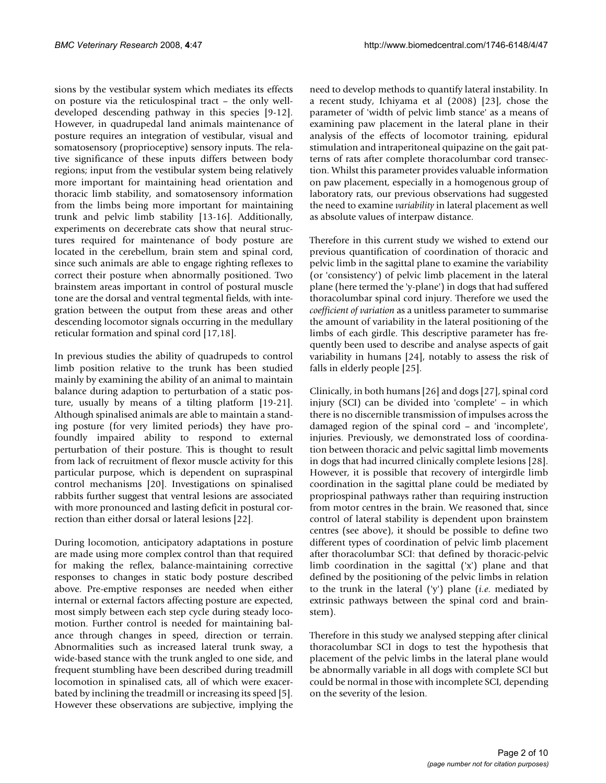sions by the vestibular system which mediates its effects on posture via the reticulospinal tract – the only welldeveloped descending pathway in this species [9-12]. However, in quadrupedal land animals maintenance of posture requires an integration of vestibular, visual and somatosensory (proprioceptive) sensory inputs. The relative significance of these inputs differs between body regions; input from the vestibular system being relatively more important for maintaining head orientation and thoracic limb stability, and somatosensory information from the limbs being more important for maintaining trunk and pelvic limb stability [13-16]. Additionally, experiments on decerebrate cats show that neural structures required for maintenance of body posture are located in the cerebellum, brain stem and spinal cord, since such animals are able to engage righting reflexes to correct their posture when abnormally positioned. Two brainstem areas important in control of postural muscle tone are the dorsal and ventral tegmental fields, with integration between the output from these areas and other descending locomotor signals occurring in the medullary reticular formation and spinal cord [17,18].

In previous studies the ability of quadrupeds to control limb position relative to the trunk has been studied mainly by examining the ability of an animal to maintain balance during adaption to perturbation of a static posture, usually by means of a tilting platform [19-21]. Although spinalised animals are able to maintain a standing posture (for very limited periods) they have profoundly impaired ability to respond to external perturbation of their posture. This is thought to result from lack of recruitment of flexor muscle activity for this particular purpose, which is dependent on supraspinal control mechanisms [20]. Investigations on spinalised rabbits further suggest that ventral lesions are associated with more pronounced and lasting deficit in postural correction than either dorsal or lateral lesions [22].

During locomotion, anticipatory adaptations in posture are made using more complex control than that required for making the reflex, balance-maintaining corrective responses to changes in static body posture described above. Pre-emptive responses are needed when either internal or external factors affecting posture are expected, most simply between each step cycle during steady locomotion. Further control is needed for maintaining balance through changes in speed, direction or terrain. Abnormalities such as increased lateral trunk sway, a wide-based stance with the trunk angled to one side, and frequent stumbling have been described during treadmill locomotion in spinalised cats, all of which were exacerbated by inclining the treadmill or increasing its speed [5]. However these observations are subjective, implying the need to develop methods to quantify lateral instability. In a recent study, Ichiyama et al (2008) [23], chose the parameter of 'width of pelvic limb stance' as a means of examining paw placement in the lateral plane in their analysis of the effects of locomotor training, epidural stimulation and intraperitoneal quipazine on the gait patterns of rats after complete thoracolumbar cord transection. Whilst this parameter provides valuable information on paw placement, especially in a homogenous group of laboratory rats, our previous observations had suggested the need to examine *variability* in lateral placement as well as absolute values of interpaw distance.

Therefore in this current study we wished to extend our previous quantification of coordination of thoracic and pelvic limb in the sagittal plane to examine the variability (or 'consistency') of pelvic limb placement in the lateral plane (here termed the 'y-plane') in dogs that had suffered thoracolumbar spinal cord injury. Therefore we used the *coefficient of variation* as a unitless parameter to summarise the amount of variability in the lateral positioning of the limbs of each girdle. This descriptive parameter has frequently been used to describe and analyse aspects of gait variability in humans [24], notably to assess the risk of falls in elderly people [25].

Clinically, in both humans [26] and dogs [27], spinal cord injury (SCI) can be divided into 'complete' – in which there is no discernible transmission of impulses across the damaged region of the spinal cord – and 'incomplete', injuries. Previously, we demonstrated loss of coordination between thoracic and pelvic sagittal limb movements in dogs that had incurred clinically complete lesions [28]. However, it is possible that recovery of intergirdle limb coordination in the sagittal plane could be mediated by propriospinal pathways rather than requiring instruction from motor centres in the brain. We reasoned that, since control of lateral stability is dependent upon brainstem centres (see above), it should be possible to define two different types of coordination of pelvic limb placement after thoracolumbar SCI: that defined by thoracic-pelvic limb coordination in the sagittal ('x') plane and that defined by the positioning of the pelvic limbs in relation to the trunk in the lateral ('y') plane (*i.e*. mediated by extrinsic pathways between the spinal cord and brainstem).

Therefore in this study we analysed stepping after clinical thoracolumbar SCI in dogs to test the hypothesis that placement of the pelvic limbs in the lateral plane would be abnormally variable in all dogs with complete SCI but could be normal in those with incomplete SCI, depending on the severity of the lesion.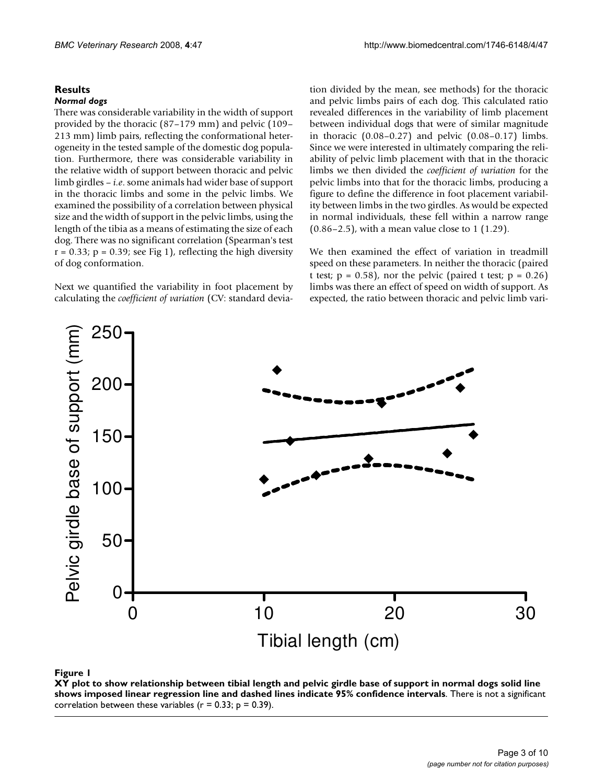#### **Results**

#### *Normal dogs*

There was considerable variability in the width of support provided by the thoracic (87–179 mm) and pelvic (109– 213 mm) limb pairs, reflecting the conformational heterogeneity in the tested sample of the domestic dog population. Furthermore, there was considerable variability in the relative width of support between thoracic and pelvic limb girdles – *i.e*. some animals had wider base of support in the thoracic limbs and some in the pelvic limbs. We examined the possibility of a correlation between physical size and the width of support in the pelvic limbs, using the length of the tibia as a means of estimating the size of each dog. There was no significant correlation (Spearman's test  $r = 0.33$ ;  $p = 0.39$ ; see Fig 1), reflecting the high diversity of dog conformation.

Next we quantified the variability in foot placement by calculating the *coefficient of variation* (CV: standard deviation divided by the mean, see methods) for the thoracic and pelvic limbs pairs of each dog. This calculated ratio revealed differences in the variability of limb placement between individual dogs that were of similar magnitude in thoracic (0.08–0.27) and pelvic (0.08–0.17) limbs. Since we were interested in ultimately comparing the reliability of pelvic limb placement with that in the thoracic limbs we then divided the *coefficient of variation* for the pelvic limbs into that for the thoracic limbs, producing a figure to define the difference in foot placement variability between limbs in the two girdles. As would be expected in normal individuals, these fell within a narrow range (0.86–2.5), with a mean value close to 1 (1.29).

We then examined the effect of variation in treadmill speed on these parameters. In neither the thoracic (paired t test;  $p = 0.58$ ), nor the pelvic (paired t test;  $p = 0.26$ ) limbs was there an effect of speed on width of support. As expected, the ratio between thoracic and pelvic limb vari-



#### XY plot to show relationship be linear regression line and dashed li **Figure 1** tween tibial length and pelvic nes indicate 95% confidence intervals girdle base of support in normal dogs solid line shows imposed

**XY plot to show relationship between tibial length and pelvic girdle base of support in normal dogs solid line shows imposed linear regression line and dashed lines indicate 95% confidence intervals**. There is not a significant correlation between these variables ( $r = 0.33$ ;  $p = 0.39$ ).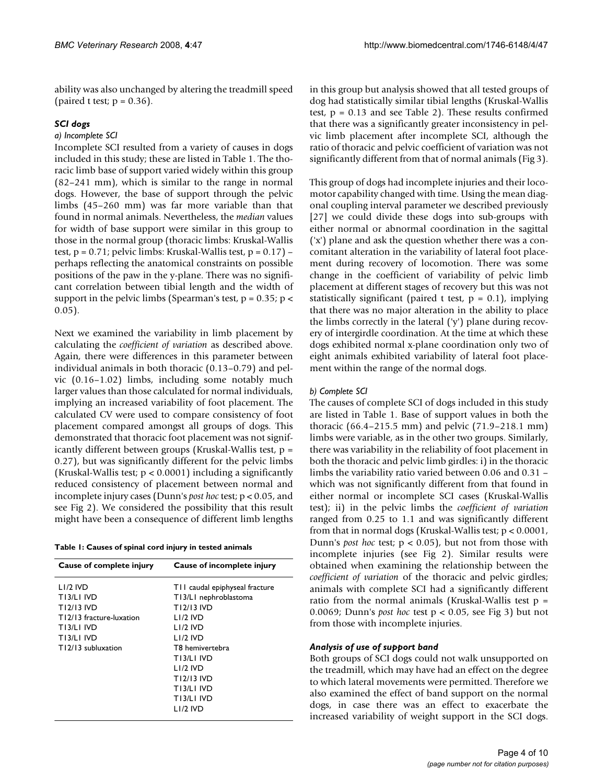ability was also unchanged by altering the treadmill speed (paired t test;  $p = 0.36$ ).

#### *SCI dogs*

#### *a) Incomplete SCI*

Incomplete SCI resulted from a variety of causes in dogs included in this study; these are listed in Table 1. The thoracic limb base of support varied widely within this group (82–241 mm), which is similar to the range in normal dogs. However, the base of support through the pelvic limbs (45–260 mm) was far more variable than that found in normal animals. Nevertheless, the *median* values for width of base support were similar in this group to those in the normal group (thoracic limbs: Kruskal-Wallis test,  $p = 0.71$ ; pelvic limbs: Kruskal-Wallis test,  $p = 0.17$ ) – perhaps reflecting the anatomical constraints on possible positions of the paw in the y-plane. There was no significant correlation between tibial length and the width of support in the pelvic limbs (Spearman's test,  $p = 0.35$ ;  $p <$ 0.05).

Next we examined the variability in limb placement by calculating the *coefficient of variation* as described above. Again, there were differences in this parameter between individual animals in both thoracic (0.13–0.79) and pelvic (0.16–1.02) limbs, including some notably much larger values than those calculated for normal individuals, implying an increased variability of foot placement. The calculated CV were used to compare consistency of foot placement compared amongst all groups of dogs. This demonstrated that thoracic foot placement was not significantly different between groups (Kruskal-Wallis test, p = 0.27), but was significantly different for the pelvic limbs (Kruskal-Wallis test; p < 0.0001) including a significantly reduced consistency of placement between normal and incomplete injury cases (Dunn's *post hoc* test; p < 0.05, and see Fig 2). We considered the possibility that this result might have been a consequence of different limb lengths

| Table 1: Causes of spinal cord injury in tested animals |  |  |  |  |
|---------------------------------------------------------|--|--|--|--|
|---------------------------------------------------------|--|--|--|--|

| Cause of complete injury | Cause of incomplete injury     |  |  |
|--------------------------|--------------------------------|--|--|
| $LI/2$ IVD               | T11 caudal epiphyseal fracture |  |  |
| TI3/LI IVD               | T13/L1 nephroblastoma          |  |  |
| T12/13 IVD               | T12/13 IVD                     |  |  |
| T12/13 fracture-luxation | 11/2 IVD                       |  |  |
| TI3/LI IVD               | 11/2 IVD                       |  |  |
| TI3/LI IVD               | LI/2 IVD                       |  |  |
| T12/13 subluxation       | T8 hemivertebra                |  |  |
|                          | T13/LLIVD                      |  |  |
|                          | 11/2 IVD                       |  |  |
|                          | T12/13 IVD                     |  |  |
|                          | TI3/LI IVD                     |  |  |
|                          | TI3/LI IVD                     |  |  |
|                          | 1 1/2 IVD                      |  |  |
|                          |                                |  |  |

in this group but analysis showed that all tested groups of dog had statistically similar tibial lengths (Kruskal-Wallis test,  $p = 0.13$  and see Table 2). These results confirmed that there was a significantly greater inconsistency in pelvic limb placement after incomplete SCI, although the ratio of thoracic and pelvic coefficient of variation was not significantly different from that of normal animals (Fig 3).

This group of dogs had incomplete injuries and their locomotor capability changed with time. Using the mean diagonal coupling interval parameter we described previously [27] we could divide these dogs into sub-groups with either normal or abnormal coordination in the sagittal ('x') plane and ask the question whether there was a concomitant alteration in the variability of lateral foot placement during recovery of locomotion. There was some change in the coefficient of variability of pelvic limb placement at different stages of recovery but this was not statistically significant (paired t test,  $p = 0.1$ ), implying that there was no major alteration in the ability to place the limbs correctly in the lateral ('y') plane during recovery of intergirdle coordination. At the time at which these dogs exhibited normal x-plane coordination only two of eight animals exhibited variability of lateral foot placement within the range of the normal dogs.

#### *b) Complete SCI*

The causes of complete SCI of dogs included in this study are listed in Table 1. Base of support values in both the thoracic (66.4–215.5 mm) and pelvic (71.9–218.1 mm) limbs were variable, as in the other two groups. Similarly, there was variability in the reliability of foot placement in both the thoracic and pelvic limb girdles: i) in the thoracic limbs the variability ratio varied between 0.06 and 0.31 – which was not significantly different from that found in either normal or incomplete SCI cases (Kruskal-Wallis test); ii) in the pelvic limbs the *coefficient of variation* ranged from 0.25 to 1.1 and was significantly different from that in normal dogs (Kruskal-Wallis test; p < 0.0001, Dunn's *post hoc* test; p < 0.05), but not from those with incomplete injuries (see Fig 2). Similar results were obtained when examining the relationship between the *coefficient of variation* of the thoracic and pelvic girdles; animals with complete SCI had a significantly different ratio from the normal animals (Kruskal-Wallis test  $p =$ 0.0069; Dunn's *post hoc* test p < 0.05, see Fig 3) but not from those with incomplete injuries.

#### *Analysis of use of support band*

Both groups of SCI dogs could not walk unsupported on the treadmill, which may have had an effect on the degree to which lateral movements were permitted. Therefore we also examined the effect of band support on the normal dogs, in case there was an effect to exacerbate the increased variability of weight support in the SCI dogs.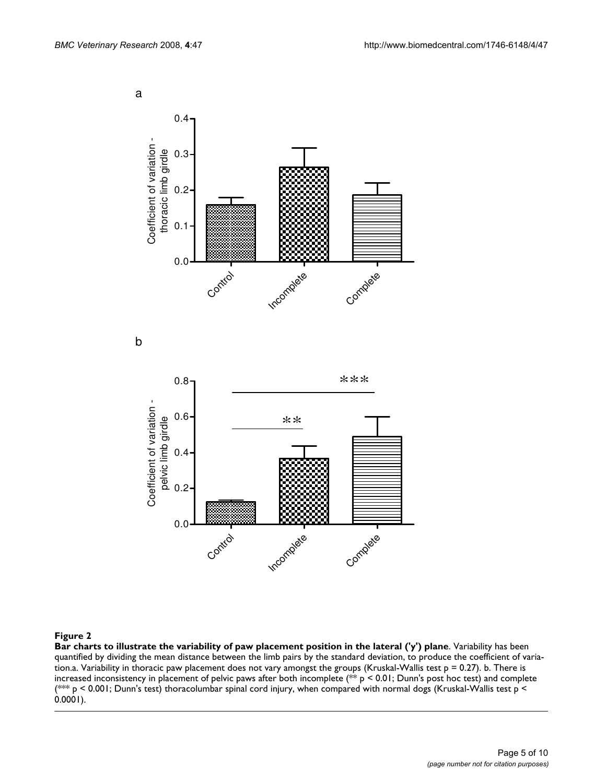a



#### Figure 2

**Bar charts to illustrate the variability of paw placement position in the lateral ('y') plane**. Variability has been quantified by dividing the mean distance between the limb pairs by the standard deviation, to produce the coefficient of variation.a. Variability in thoracic paw placement does not vary amongst the groups (Kruskal-Wallis test  $p = 0.27$ ). b. There is increased inconsistency in placement of pelvic paws after both incomplete (\*\* p < 0.01; Dunn's post hoc test) and complete (\*\* p < 0.001; Dunn's test) thoracolumbar spinal cord injury, when compared with normal dogs (Kruskal-Wallis test p < 0.0001).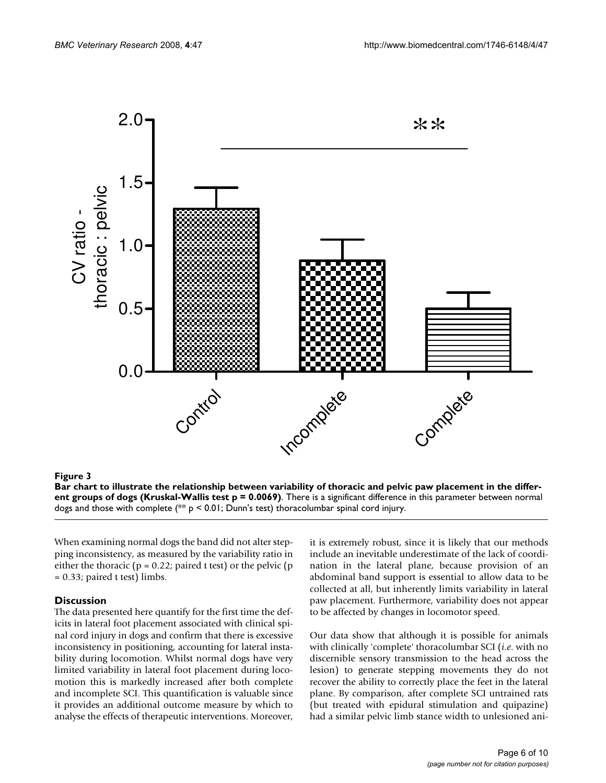

#### Bar chart to illustrate the relationship betw (Kruskal-Wallis test p = 0.0069) **Figure 3** een variability of thoracic and pelvic paw placement in the different groups of dogs

**Bar chart to illustrate the relationship between variability of thoracic and pelvic paw placement in the different groups of dogs (Kruskal-Wallis test p = 0.0069)**. There is a significant difference in this parameter between normal dogs and those with complete ( $**$  p < 0.01; Dunn's test) thoracolumbar spinal cord injury.

When examining normal dogs the band did not alter stepping inconsistency, as measured by the variability ratio in either the thoracic ( $p = 0.22$ ; paired t test) or the pelvic ( $p = 0.22$ ) = 0.33; paired t test) limbs.

#### **Discussion**

The data presented here quantify for the first time the deficits in lateral foot placement associated with clinical spinal cord injury in dogs and confirm that there is excessive inconsistency in positioning, accounting for lateral instability during locomotion. Whilst normal dogs have very limited variability in lateral foot placement during locomotion this is markedly increased after both complete and incomplete SCI. This quantification is valuable since it provides an additional outcome measure by which to analyse the effects of therapeutic interventions. Moreover, it is extremely robust, since it is likely that our methods include an inevitable underestimate of the lack of coordination in the lateral plane, because provision of an abdominal band support is essential to allow data to be collected at all, but inherently limits variability in lateral paw placement. Furthermore, variability does not appear to be affected by changes in locomotor speed.

Our data show that although it is possible for animals with clinically 'complete' thoracolumbar SCI (*i.e*. with no discernible sensory transmission to the head across the lesion) to generate stepping movements they do not recover the ability to correctly place the feet in the lateral plane. By comparison, after complete SCI untrained rats (but treated with epidural stimulation and quipazine) had a similar pelvic limb stance width to unlesioned ani-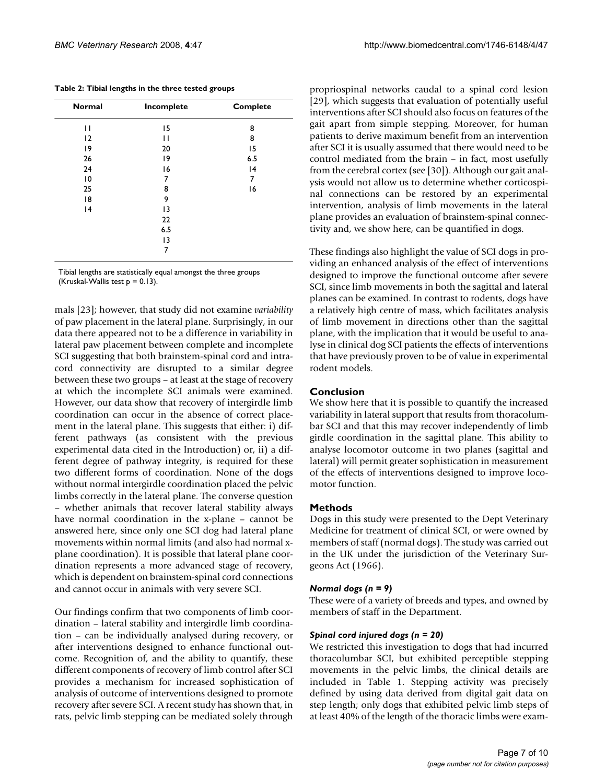**Table 2: Tibial lengths in the three tested groups**

| <b>Normal</b> | Incomplete | <b>Complete</b> |  |
|---------------|------------|-----------------|--|
| П             | 15         | 8               |  |
| 12            | П          | 8               |  |
| 19            | 20         | 15              |  |
| 26            | 9          | 6.5             |  |
| 24            | 16         | 4               |  |
| 10            | 7          | 7               |  |
| 25            | 8          | 16              |  |
| 18            | 9          |                 |  |
| 4             | 13         |                 |  |
|               | 22         |                 |  |
|               | 6.5        |                 |  |
|               | 13         |                 |  |
|               | 7          |                 |  |

Tibial lengths are statistically equal amongst the three groups (Kruskal-Wallis test  $p = 0.13$ ).

mals [23]; however, that study did not examine *variability* of paw placement in the lateral plane. Surprisingly, in our data there appeared not to be a difference in variability in lateral paw placement between complete and incomplete SCI suggesting that both brainstem-spinal cord and intracord connectivity are disrupted to a similar degree between these two groups – at least at the stage of recovery at which the incomplete SCI animals were examined. However, our data show that recovery of intergirdle limb coordination can occur in the absence of correct placement in the lateral plane. This suggests that either: i) different pathways (as consistent with the previous experimental data cited in the Introduction) or, ii) a different degree of pathway integrity, is required for these two different forms of coordination. None of the dogs without normal intergirdle coordination placed the pelvic limbs correctly in the lateral plane. The converse question – whether animals that recover lateral stability always have normal coordination in the x-plane – cannot be answered here, since only one SCI dog had lateral plane movements within normal limits (and also had normal xplane coordination). It is possible that lateral plane coordination represents a more advanced stage of recovery, which is dependent on brainstem-spinal cord connections and cannot occur in animals with very severe SCI.

Our findings confirm that two components of limb coordination – lateral stability and intergirdle limb coordination – can be individually analysed during recovery, or after interventions designed to enhance functional outcome. Recognition of, and the ability to quantify, these different components of recovery of limb control after SCI provides a mechanism for increased sophistication of analysis of outcome of interventions designed to promote recovery after severe SCI. A recent study has shown that, in rats, pelvic limb stepping can be mediated solely through

propriospinal networks caudal to a spinal cord lesion [29], which suggests that evaluation of potentially useful interventions after SCI should also focus on features of the gait apart from simple stepping. Moreover, for human patients to derive maximum benefit from an intervention after SCI it is usually assumed that there would need to be control mediated from the brain – in fact, most usefully from the cerebral cortex (see [30]). Although our gait analysis would not allow us to determine whether corticospinal connections can be restored by an experimental intervention, analysis of limb movements in the lateral plane provides an evaluation of brainstem-spinal connectivity and, we show here, can be quantified in dogs.

These findings also highlight the value of SCI dogs in providing an enhanced analysis of the effect of interventions designed to improve the functional outcome after severe SCI, since limb movements in both the sagittal and lateral planes can be examined. In contrast to rodents, dogs have a relatively high centre of mass, which facilitates analysis of limb movement in directions other than the sagittal plane, with the implication that it would be useful to analyse in clinical dog SCI patients the effects of interventions that have previously proven to be of value in experimental rodent models.

#### **Conclusion**

We show here that it is possible to quantify the increased variability in lateral support that results from thoracolumbar SCI and that this may recover independently of limb girdle coordination in the sagittal plane. This ability to analyse locomotor outcome in two planes (sagittal and lateral) will permit greater sophistication in measurement of the effects of interventions designed to improve locomotor function.

#### **Methods**

Dogs in this study were presented to the Dept Veterinary Medicine for treatment of clinical SCI, or were owned by members of staff (normal dogs). The study was carried out in the UK under the jurisdiction of the Veterinary Surgeons Act (1966).

#### *Normal dogs (n = 9)*

These were of a variety of breeds and types, and owned by members of staff in the Department.

### *Spinal cord injured dogs (n = 20)*

We restricted this investigation to dogs that had incurred thoracolumbar SCI, but exhibited perceptible stepping movements in the pelvic limbs, the clinical details are included in Table 1. Stepping activity was precisely defined by using data derived from digital gait data on step length; only dogs that exhibited pelvic limb steps of at least 40% of the length of the thoracic limbs were exam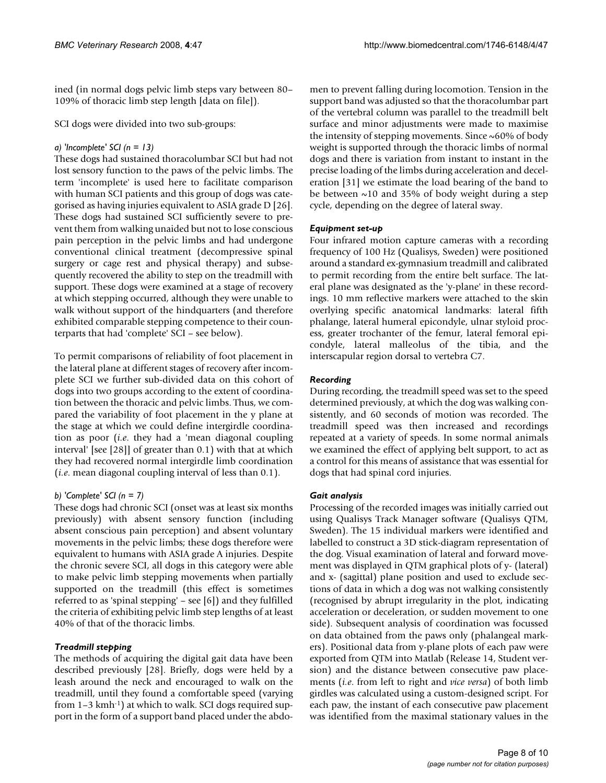ined (in normal dogs pelvic limb steps vary between 80– 109% of thoracic limb step length [data on file]).

SCI dogs were divided into two sub-groups:

#### *a) 'Incomplete' SCI (n = 13)*

These dogs had sustained thoracolumbar SCI but had not lost sensory function to the paws of the pelvic limbs. The term 'incomplete' is used here to facilitate comparison with human SCI patients and this group of dogs was categorised as having injuries equivalent to ASIA grade D [26]. These dogs had sustained SCI sufficiently severe to prevent them from walking unaided but not to lose conscious pain perception in the pelvic limbs and had undergone conventional clinical treatment (decompressive spinal surgery or cage rest and physical therapy) and subsequently recovered the ability to step on the treadmill with support. These dogs were examined at a stage of recovery at which stepping occurred, although they were unable to walk without support of the hindquarters (and therefore exhibited comparable stepping competence to their counterparts that had 'complete' SCI – see below).

To permit comparisons of reliability of foot placement in the lateral plane at different stages of recovery after incomplete SCI we further sub-divided data on this cohort of dogs into two groups according to the extent of coordination between the thoracic and pelvic limbs. Thus, we compared the variability of foot placement in the y plane at the stage at which we could define intergirdle coordination as poor (*i.e*. they had a 'mean diagonal coupling interval' [see [28]] of greater than 0.1) with that at which they had recovered normal intergirdle limb coordination (*i.e*. mean diagonal coupling interval of less than 0.1).

### *b) 'Complete' SCI (n = 7)*

These dogs had chronic SCI (onset was at least six months previously) with absent sensory function (including absent conscious pain perception) and absent voluntary movements in the pelvic limbs; these dogs therefore were equivalent to humans with ASIA grade A injuries. Despite the chronic severe SCI, all dogs in this category were able to make pelvic limb stepping movements when partially supported on the treadmill (this effect is sometimes referred to as 'spinal stepping' – see [6]) and they fulfilled the criteria of exhibiting pelvic limb step lengths of at least 40% of that of the thoracic limbs.

### *Treadmill stepping*

The methods of acquiring the digital gait data have been described previously [28]. Briefly, dogs were held by a leash around the neck and encouraged to walk on the treadmill, until they found a comfortable speed (varying from 1–3 kmh-1) at which to walk. SCI dogs required support in the form of a support band placed under the abdomen to prevent falling during locomotion. Tension in the support band was adjusted so that the thoracolumbar part of the vertebral column was parallel to the treadmill belt surface and minor adjustments were made to maximise the intensity of stepping movements. Since ~60% of body weight is supported through the thoracic limbs of normal dogs and there is variation from instant to instant in the precise loading of the limbs during acceleration and deceleration [31] we estimate the load bearing of the band to be between  $\sim$ 10 and 35% of body weight during a step cycle, depending on the degree of lateral sway.

### *Equipment set-up*

Four infrared motion capture cameras with a recording frequency of 100 Hz (Qualisys, Sweden) were positioned around a standard ex-gymnasium treadmill and calibrated to permit recording from the entire belt surface. The lateral plane was designated as the 'y-plane' in these recordings. 10 mm reflective markers were attached to the skin overlying specific anatomical landmarks: lateral fifth phalange, lateral humeral epicondyle, ulnar styloid process, greater trochanter of the femur, lateral femoral epicondyle, lateral malleolus of the tibia, and the interscapular region dorsal to vertebra C7.

#### *Recording*

During recording, the treadmill speed was set to the speed determined previously, at which the dog was walking consistently, and 60 seconds of motion was recorded. The treadmill speed was then increased and recordings repeated at a variety of speeds. In some normal animals we examined the effect of applying belt support, to act as a control for this means of assistance that was essential for dogs that had spinal cord injuries.

### *Gait analysis*

Processing of the recorded images was initially carried out using Qualisys Track Manager software (Qualisys QTM, Sweden). The 15 individual markers were identified and labelled to construct a 3D stick-diagram representation of the dog. Visual examination of lateral and forward movement was displayed in QTM graphical plots of y- (lateral) and x- (sagittal) plane position and used to exclude sections of data in which a dog was not walking consistently (recognised by abrupt irregularity in the plot, indicating acceleration or deceleration, or sudden movement to one side). Subsequent analysis of coordination was focussed on data obtained from the paws only (phalangeal markers). Positional data from y-plane plots of each paw were exported from QTM into Matlab (Release 14, Student version) and the distance between consecutive paw placements (*i.e*. from left to right and *vice versa*) of both limb girdles was calculated using a custom-designed script. For each paw, the instant of each consecutive paw placement was identified from the maximal stationary values in the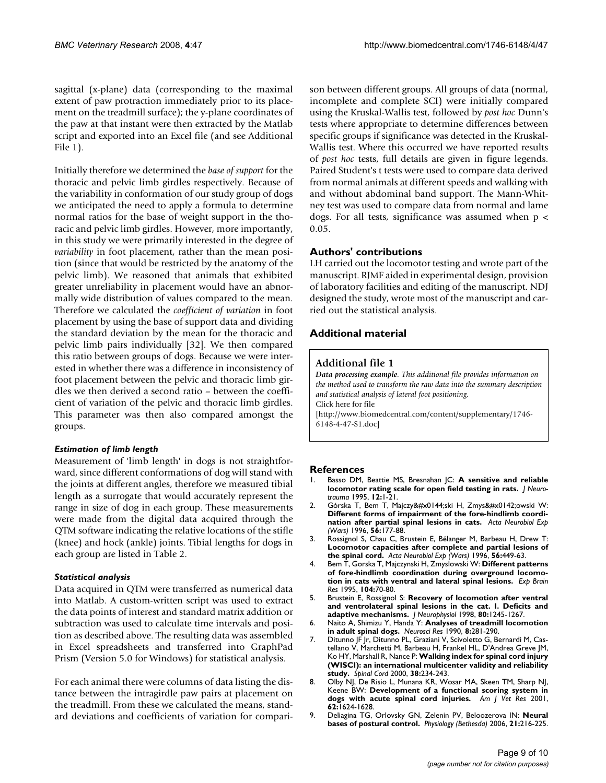sagittal (x-plane) data (corresponding to the maximal extent of paw protraction immediately prior to its placement on the treadmill surface); the y-plane coordinates of the paw at that instant were then extracted by the Matlab script and exported into an Excel file (and see Additional File 1).

Initially therefore we determined the *base of support* for the thoracic and pelvic limb girdles respectively. Because of the variability in conformation of our study group of dogs we anticipated the need to apply a formula to determine normal ratios for the base of weight support in the thoracic and pelvic limb girdles. However, more importantly, in this study we were primarily interested in the degree of *variability* in foot placement, rather than the mean position (since that would be restricted by the anatomy of the pelvic limb). We reasoned that animals that exhibited greater unreliability in placement would have an abnormally wide distribution of values compared to the mean. Therefore we calculated the *coefficient of variation* in foot placement by using the base of support data and dividing the standard deviation by the mean for the thoracic and pelvic limb pairs individually [32]. We then compared this ratio between groups of dogs. Because we were interested in whether there was a difference in inconsistency of foot placement between the pelvic and thoracic limb girdles we then derived a second ratio – between the coefficient of variation of the pelvic and thoracic limb girdles. This parameter was then also compared amongst the groups.

#### *Estimation of limb length*

Measurement of 'limb length' in dogs is not straightforward, since different conformations of dog will stand with the joints at different angles, therefore we measured tibial length as a surrogate that would accurately represent the range in size of dog in each group. These measurements were made from the digital data acquired through the QTM software indicating the relative locations of the stifle (knee) and hock (ankle) joints. Tibial lengths for dogs in each group are listed in Table 2.

#### *Statistical analysis*

Data acquired in QTM were transferred as numerical data into Matlab. A custom-written script was used to extract the data points of interest and standard matrix addition or subtraction was used to calculate time intervals and position as described above. The resulting data was assembled in Excel spreadsheets and transferred into GraphPad Prism (Version 5.0 for Windows) for statistical analysis.

For each animal there were columns of data listing the distance between the intragirdle paw pairs at placement on the treadmill. From these we calculated the means, standard deviations and coefficients of variation for comparison between different groups. All groups of data (normal, incomplete and complete SCI) were initially compared using the Kruskal-Wallis test, followed by *post hoc* Dunn's tests where appropriate to determine differences between specific groups if significance was detected in the Kruskal-Wallis test. Where this occurred we have reported results of *post hoc* tests, full details are given in figure legends. Paired Student's t tests were used to compare data derived from normal animals at different speeds and walking with and without abdominal band support. The Mann-Whitney test was used to compare data from normal and lame dogs. For all tests, significance was assumed when p < 0.05.

#### **Authors' contributions**

LH carried out the locomotor testing and wrote part of the manuscript. RJMF aided in experimental design, provision of laboratory facilities and editing of the manuscript. NDJ designed the study, wrote most of the manuscript and carried out the statistical analysis.

#### **Additional material**

#### **Additional file 1**

*Data processing example. This additional file provides information on the method used to transform the raw data into the summary description and statistical analysis of lateral foot positioning.* Click here for file

[\[http://www.biomedcentral.com/content/supplementary/1746-](http://www.biomedcentral.com/content/supplementary/1746-6148-4-47-S1.doc) 6148-4-47-S1.doc]

#### **References**

- 1. Basso DM, Beattie MS, Bresnahan JC: **[A sensitive and reliable](http://www.ncbi.nlm.nih.gov/entrez/query.fcgi?cmd=Retrieve&db=PubMed&dopt=Abstract&list_uids=7783230) [locomotor rating scale for open field testing in rats.](http://www.ncbi.nlm.nih.gov/entrez/query.fcgi?cmd=Retrieve&db=PubMed&dopt=Abstract&list_uids=7783230)** *J Neurotrauma* 1995, **12:**1-21.
- 2. Górska T, Bem T, Majczyński H, Zmysłowski W: **[Different forms of impairment of the fore-hindlimb coordi](http://www.ncbi.nlm.nih.gov/entrez/query.fcgi?cmd=Retrieve&db=PubMed&dopt=Abstract&list_uids=8787172)[nation after partial spinal lesions in cats.](http://www.ncbi.nlm.nih.gov/entrez/query.fcgi?cmd=Retrieve&db=PubMed&dopt=Abstract&list_uids=8787172)** *Acta Neurobiol Exp (Wars)* 1996, **56:**177-88.
- 3. Rossignol S, Chau C, Brustein E, Bélanger M, Barbeau H, Drew T: **[Locomotor capacities after complete and partial lesions of](http://www.ncbi.nlm.nih.gov/entrez/query.fcgi?cmd=Retrieve&db=PubMed&dopt=Abstract&list_uids=8787206) [the spinal cord.](http://www.ncbi.nlm.nih.gov/entrez/query.fcgi?cmd=Retrieve&db=PubMed&dopt=Abstract&list_uids=8787206)** *Acta Neurobiol Exp (Wars)* 1996, **56:**449-63.
- 4. Bem T, Gorska T, Majczynski H, Zmyslowski W: **[Different patterns](http://www.ncbi.nlm.nih.gov/entrez/query.fcgi?cmd=Retrieve&db=PubMed&dopt=Abstract&list_uids=7621942) [of fore-hindlimb coordination during overground locomo](http://www.ncbi.nlm.nih.gov/entrez/query.fcgi?cmd=Retrieve&db=PubMed&dopt=Abstract&list_uids=7621942)[tion in cats with ventral and lateral spinal lesions.](http://www.ncbi.nlm.nih.gov/entrez/query.fcgi?cmd=Retrieve&db=PubMed&dopt=Abstract&list_uids=7621942)** *Exp Brain Res* 1995, **104:**70-80.
- 5. Brustein E, Rossignol S: **[Recovery of locomotion after ventral](http://www.ncbi.nlm.nih.gov/entrez/query.fcgi?cmd=Retrieve&db=PubMed&dopt=Abstract&list_uids=9744936) [and ventrolateral spinal lesions in the cat. I. Deficits and](http://www.ncbi.nlm.nih.gov/entrez/query.fcgi?cmd=Retrieve&db=PubMed&dopt=Abstract&list_uids=9744936) [adaptive mechanisms.](http://www.ncbi.nlm.nih.gov/entrez/query.fcgi?cmd=Retrieve&db=PubMed&dopt=Abstract&list_uids=9744936)** *J Neurophysiol* 1998, **80:**1245-1267.
- 6. Naito A, Shimizu Y, Handa Y: **[Analyses of treadmill locomotion](http://www.ncbi.nlm.nih.gov/entrez/query.fcgi?cmd=Retrieve&db=PubMed&dopt=Abstract&list_uids=2175861) [in adult spinal dogs.](http://www.ncbi.nlm.nih.gov/entrez/query.fcgi?cmd=Retrieve&db=PubMed&dopt=Abstract&list_uids=2175861)** *Neurosci Res* 1990, **8:**281-290.
- 7. Ditunno JF Jr, Ditunno PL, Graziani V, Scivoletto G, Bernardi M, Castellano V, Marchetti M, Barbeau H, Frankel HL, D'Andrea Greve JM, Ko HY, Marshall R, Nance P: **[Walking index for spinal cord injury](http://www.ncbi.nlm.nih.gov/entrez/query.fcgi?cmd=Retrieve&db=PubMed&dopt=Abstract&list_uids=10822394) [\(WISCI\): an international multicenter validity and reliability](http://www.ncbi.nlm.nih.gov/entrez/query.fcgi?cmd=Retrieve&db=PubMed&dopt=Abstract&list_uids=10822394) [study.](http://www.ncbi.nlm.nih.gov/entrez/query.fcgi?cmd=Retrieve&db=PubMed&dopt=Abstract&list_uids=10822394)** *Spinal Cord* 2000, **38:**234-243.
- 8. Olby NJ, De Risio L, Munana KR, Wosar MA, Skeen TM, Sharp NJ, Keene BW: **[Development of a functional scoring system in](http://www.ncbi.nlm.nih.gov/entrez/query.fcgi?cmd=Retrieve&db=PubMed&dopt=Abstract&list_uids=11592330) [dogs with acute spinal cord injuries.](http://www.ncbi.nlm.nih.gov/entrez/query.fcgi?cmd=Retrieve&db=PubMed&dopt=Abstract&list_uids=11592330)** *Am J Vet Res* 2001, **62:**1624-1628.
- 9. Deliagina TG, Orlovsky GN, Zelenin PV, Beloozerova IN: **[Neural](http://www.ncbi.nlm.nih.gov/entrez/query.fcgi?cmd=Retrieve&db=PubMed&dopt=Abstract&list_uids=16714480) [bases of postural control.](http://www.ncbi.nlm.nih.gov/entrez/query.fcgi?cmd=Retrieve&db=PubMed&dopt=Abstract&list_uids=16714480)** *Physiology (Bethesda)* 2006, **21:**216-225.